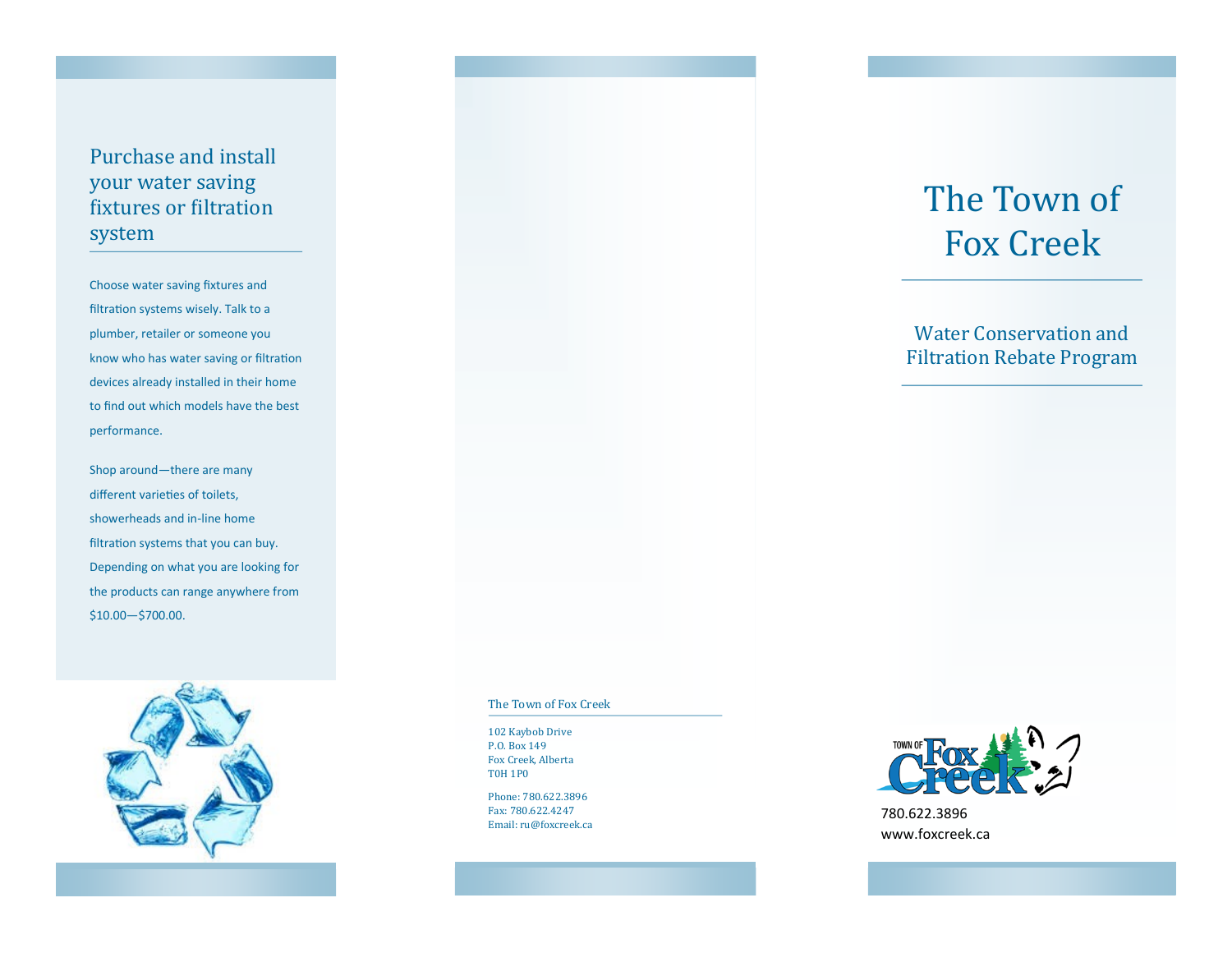# Purchase and install your water saving fixtures or filtration system

Choose water saving fixtures and filtration systems wisely. Talk to a plumber, retailer or someone you know who has water saving or filtration devices already installed in their home to find out which models have the best performance.

Shop around—there are many different varieties of toilets, showerheads and in-line home filtration systems that you can buy. Depending on what you are looking for the products can range anywhere from \$10.00—\$700.00.



#### The Town of Fox Creek

102 Kaybob Drive P.O. Box 149 Fox Creek, Alberta T0H 1P0

Phone: 780.622.3896 Fax: 780.622.4247 Email: ru@foxcreek.ca

# The Town of Fox Creek

## Water Conservation and Filtration Rebate Program



780.622.3896 www.foxcreek.ca